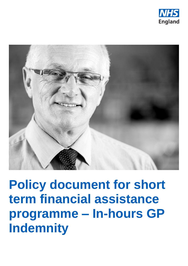



**Policy document for short** term financial assistance programme - In-hours GP **Indemnity**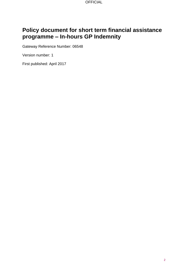**OFFICIAL** 

# **Policy document for short term financial assistance programme – In-hours GP Indemnity**

Gateway Reference Number: 06548

Version number: 1

First published: April 2017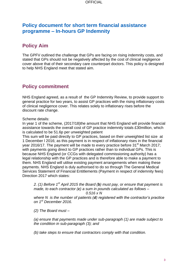### **Policy document for short term financial assistance programme – In-hours GP Indemnity**

## **Policy Aim**

The GPFV outlined the challenge that GPs are facing on rising indemnity costs, and stated that GPs should not be negatively affected by the cost of clinical negligence cover above that of their secondary care counterpart doctors. This policy is designed to help NHS England meet that stated aim.

## **Policy commitment**

NHS England agreed, as a result of the GP Indemnity Review, to provide support to general practice for two years, to assist GP practices with the rising inflationary costs of clinical negligence cover. This relates solely to inflationary rises before the discount rate change.

Scheme details:

In year 1 of the scheme, (2017/18)the amount that NHS England will provide financial assistance towards the overall cost of GP practice indemnity totals £30million, which is calculated to be 51.6p per unweighted patient

This sum will be paid directly to GP practices, based on their unweighted list size at 1 December l 2016; as this payment is in respect of inflationary rises in the financial year 2016/17. The payment will be made to every practice before  $31<sup>st</sup>$  March 2017; with payments going direct to GP practices rather than to individual GPs. This is because NHS England (or CCGs with delegated commissioning authority) has a legal relationship with the GP practices and is therefore able to make a payment to them. NHS England will utilise existing payment arrangements when making these payments. NHS England is duly authorised to do so through The General Medical Services Statement of Financial Entitlements (Payment in respect of indemnity fees) Direction 2017 which states:

*2. (1) Before 1st April 2015 the Board (b) must pay, or ensure that payment is made, to each contractor (c) a sum in pounds calculated as follows –*

*0.516 x N*

*where N is the number of patients (d) registered with the contractor's practice on 1st December 2016.*

*(2) The Board must –*

*(a) ensure that payments made under sub-paragraph (1) are made subject to the condition in sub-paragraph (3); and*

*(b) take steps to ensure that contractors comply with that condition.*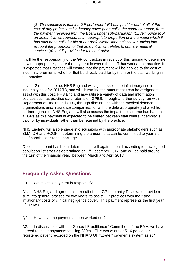**OFFICIAL** 

*(3) The condition is that if a GP performer ("P") has paid for part of all of the cost of any professional indemnity cover personally, the contractor must, from the payment received from the Board under sub-paragraph (1), reimburse to P an amount which represents an appropriate proportion of the amount which P has paid personally for his or her professional indemnity cover, taking into account the proportion of that amount which relates to primary medical services (a) that P provides for the contractor.*

It will be the responsibility of the GP contractors in receipt of this funding to determine how to appropriately share the payment between the staff that work at the practice. It is expected that Practices will ensure that the payment will be applied to the cost of indemnity premiums, whether that be directly paid for by them or the staff working in the practice.

In year 2 of the scheme, NHS England will again assess the inflationary rise in indemnity cost for 2017/18, and will determine the amount that can be assigned to assist with this cost. NHS England may utilise a variety of data and information sources such as practice data returns on GPES, through a further survey run with Department of Health and GPC, through discussions with the medical defence organisations and/ insurance companies, or with the data appropriately shared from partner agencies. NHS England will also assess the impact the scheme has had on all GPs as this payment is expected to be shared between staff where indemnity is paid for by individuals rather than be retained by the practice.

NHS England will also engage in discussions with appropriate stakeholders such as BMA, DH and RCGP in determining the amount that can be committed to year 2 of the financial assistance package.

Once this amount has been determined, it will again be paid according to unweighted population list sizes as determined on 1<sup>st</sup> December 2017; and will be paid around the turn of the financial year, between March and April 2018.

### **Frequently Asked Questions**

Q1: What is this payment in respect of?

A1: NHS England agreed, as a result of the GP Indemnity Review, to provide a sum into general practice for two years, to assist GP practices with the rising inflationary costs of clinical negligence cover. This payment represents the first year of the two.

Q2: How have the payments been worked out?

A2: In discussions with the General Practitioners' Committee of the BMA, we have agreed to make payments totalling £30m. This works out at 51.6 pence per registered patient recorded on the NHAIS GP "Exeter" payments system as at 1